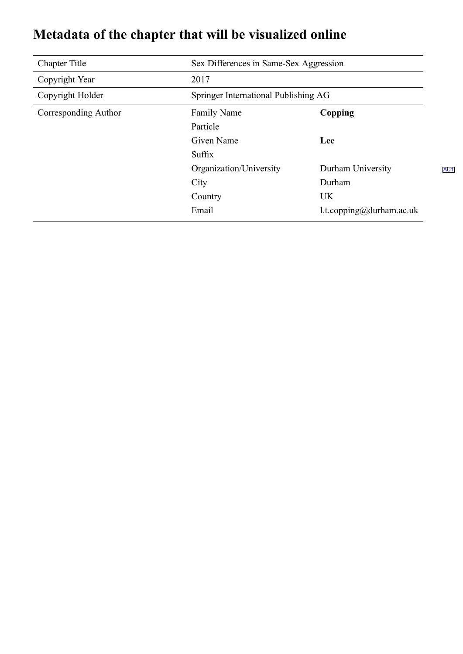## **Metadata of the chapter that will be visualized online**

| <b>Chapter Title</b> | Sex Differences in Same-Sex Aggression |                             |     |
|----------------------|----------------------------------------|-----------------------------|-----|
| Copyright Year       | 2017                                   |                             |     |
| Copyright Holder     | Springer International Publishing AG   |                             |     |
| Corresponding Author | <b>Family Name</b>                     | Copping                     |     |
|                      | Particle                               |                             |     |
|                      | Given Name                             | Lee                         |     |
|                      | Suffix                                 |                             |     |
|                      | Organization/University                | Durham University           | AU1 |
|                      | City                                   | Durham                      |     |
|                      | Country                                | <b>UK</b>                   |     |
|                      | Email                                  | $1.t.$ copping@durham.ac.uk |     |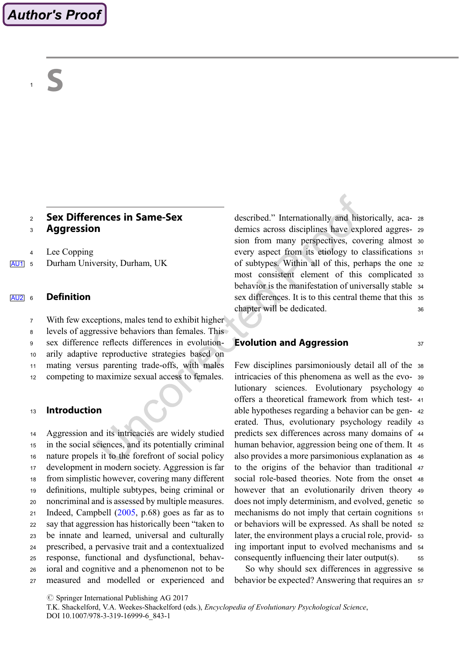## **Author's Proof**

#### <sup>2</sup> Sex Differences in Same-Sex <sup>3</sup> Aggression

- <sup>4</sup> Lee Copping
- AU1 <sup>5</sup> Durham University, Durham, UK

#### **AU2** 6 Definition

 With few exceptions, males tend to exhibit higher levels of aggressive behaviors than females. This sex difference reflects differences in evolution- arily adaptive reproductive strategies based on mating versus parenting trade-offs, with males

<sup>12</sup> competing to maximize sexual access to females.

#### <sup>13</sup> Introduction

 Aggression and its intricacies are widely studied in the social sciences, and its potentially criminal nature propels it to the forefront of social policy development in modern society. Aggression is far from simplistic however, covering many different definitions, multiple subtypes, being criminal or noncriminal and is assessed by multiple measures. Indeed, Campbell [\(2005](#page-12-0), p.68) goes as far as to say that aggression has historically been "taken to be innate and learned, universal and culturally prescribed, a pervasive trait and a contextualized response, functional and dysfunctional, behav- ioral and cognitive and a phenomenon not to be measured and modelled or experienced and described." Internationally and historically, aca- <sup>28</sup> demics across disciplines have explored aggres- <sup>29</sup> sion from many perspectives, covering almost <sup>30</sup> every aspect from its etiology to classifications <sup>31</sup> of subtypes. Within all of this, perhaps the one <sup>32</sup> most consistent element of this complicated <sup>33</sup> behavior is the manifestation of universally stable <sup>34</sup> sex differences. It is to this central theme that this 35 chapter will be dedicated. 36

#### **Evolution and Aggression** 37

Few disciplines parsimoniously detail all of the <sup>38</sup> intricacies of this phenomena as well as the evo- <sup>39</sup> lutionary sciences. Evolutionary psychology <sup>40</sup> offers a theoretical framework from which test- <sup>41</sup> able hypotheses regarding a behavior can be gen- <sup>42</sup> erated. Thus, evolutionary psychology readily <sup>43</sup> predicts sex differences across many domains of <sup>44</sup> human behavior, aggression being one of them. It <sup>45</sup> also provides a more parsimonious explanation as <sup>46</sup> to the origins of the behavior than traditional <sup>47</sup> social role-based theories. Note from the onset <sup>48</sup> however that an evolutionarily driven theory 49 does not imply determinism, and evolved, genetic 50 mechanisms do not imply that certain cognitions <sup>51</sup> or behaviors will be expressed. As shall be noted <sup>52</sup> later, the environment plays a crucial role, provid- <sup>53</sup> ing important input to evolved mechanisms and <sup>54</sup> consequently influencing their later output(s).  $\qquad 55$ 

So why should sex differences in aggressive <sup>56</sup> behavior be expected? Answering that requires an 57

 $\oslash$  Springer International Publishing AG 2017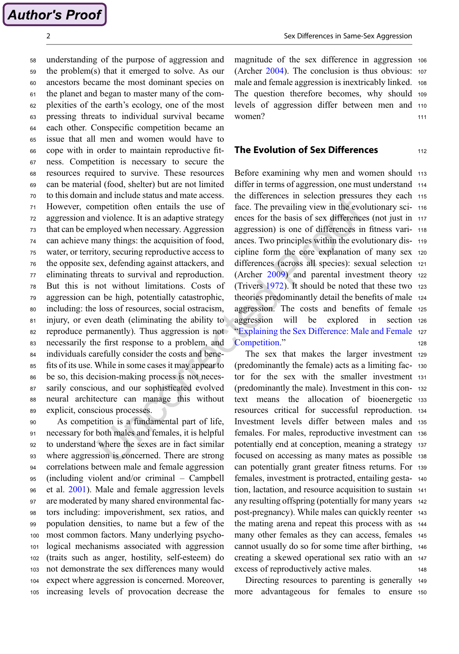understanding of the purpose of aggression and the problem(s) that it emerged to solve. As our ancestors became the most dominant species on the planet and began to master many of the com- plexities of the earth's ecology, one of the most pressing threats to individual survival became each other. Conspecific competition became an issue that all men and women would have to cope with in order to maintain reproductive fit- ness. Competition is necessary to secure the resources required to survive. These resources can be material (food, shelter) but are not limited to this domain and include status and mate access. However, competition often entails the use of aggression and violence. It is an adaptive strategy that can be employed when necessary. Aggression can achieve many things: the acquisition of food, water, or territory, securing reproductive access to the opposite sex, defending against attackers, and eliminating threats to survival and reproduction. But this is not without limitations. Costs of aggression can be high, potentially catastrophic, including: the loss of resources, social ostracism, injury, or even death (eliminating the ability to reproduce permanently). Thus aggression is not necessarily the first response to a problem, and individuals carefully consider the costs and bene- fits of its use. While in some cases it may appear to be so, this decision-making process is not neces- sarily conscious, and our sophisticated evolved neural architecture can manage this without explicit, conscious processes.

 As competition is a fundamental part of life, necessary for both males and females, it is helpful to understand where the sexes are in fact similar where aggression is concerned. There are strong correlations between male and female aggression (including violent and/or criminal – Campbell et al. [2001](#page-12-0)). Male and female aggression levels are moderated by many shared environmental fac- tors including: impoverishment, sex ratios, and population densities, to name but a few of the most common factors. Many underlying psycho- logical mechanisms associated with aggression (traits such as anger, hostility, self-esteem) do not demonstrate the sex differences many would expect where aggression is concerned. Moreover, increasing levels of provocation decrease the magnitude of the sex difference in aggression <sup>106</sup> (Archer [2004](#page-12-0)). The conclusion is thus obvious: <sup>107</sup> male and female aggression is inextricably linked. <sup>108</sup> The question therefore becomes, why should <sup>109</sup> levels of aggression differ between men and <sup>110</sup> women?

#### **The Evolution of Sex Differences** 112

Before examining why men and women should <sup>113</sup> differ in terms of aggression, one must understand 114 the differences in selection pressures they each <sup>115</sup> face. The prevailing view in the evolutionary sci- <sup>116</sup> ences for the basis of sex differences (not just in <sup>117</sup> aggression) is one of differences in fitness vari- <sup>118</sup> ances. Two principles within the evolutionary dis- <sup>119</sup> cipline form the core explanation of many sex <sup>120</sup> differences (across all species): sexual selection <sup>121</sup> (Archer [2009\)](#page-12-0) and parental investment theory <sup>122</sup> (Trivers [1972](#page-12-0)). It should be noted that these two <sup>123</sup> theories predominantly detail the benefits of male <sup>124</sup> aggression. The costs and benefits of female <sup>125</sup> aggression will be explored in section <sup>126</sup> "[Explaining the Sex Difference: Male and Female](#page-6-0) <sup>127</sup> [Competition](#page-6-0)." 128

The sex that makes the larger investment <sup>129</sup> (predominantly the female) acts as a limiting fac- <sup>130</sup> tor for the sex with the smaller investment <sup>131</sup> (predominantly the male). Investment in this con- <sup>132</sup> text means the allocation of bioenergetic <sup>133</sup> resources critical for successful reproduction. <sup>134</sup> Investment levels differ between males and <sup>135</sup> females. For males, reproductive investment can <sup>136</sup> potentially end at conception, meaning a strategy <sup>137</sup> focused on accessing as many mates as possible <sup>138</sup> can potentially grant greater fitness returns. For <sup>139</sup> females, investment is protracted, entailing gesta- <sup>140</sup> tion, lactation, and resource acquisition to sustain <sup>141</sup> any resulting offspring (potentially for many years <sup>142</sup> post-pregnancy). While males can quickly reenter <sup>143</sup> the mating arena and repeat this process with as <sup>144</sup> many other females as they can access, females <sup>145</sup> cannot usually do so for some time after birthing, <sup>146</sup> creating a skewed operational sex ratio with an <sup>147</sup> excess of reproductively active males.

Directing resources to parenting is generally <sup>149</sup> more advantageous for females to ensure <sup>150</sup>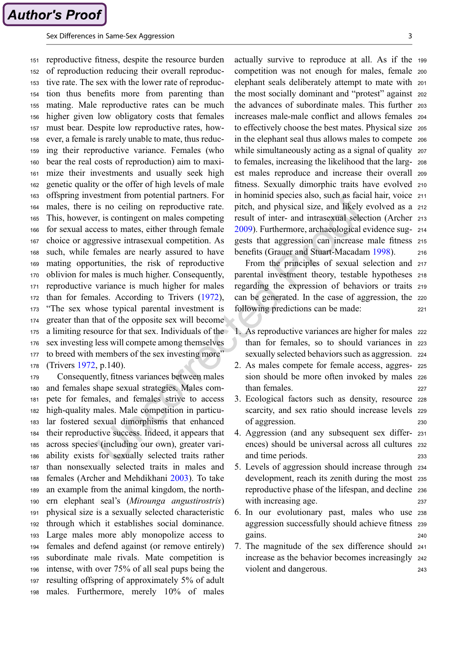### Sex Differences in Same-Sex Aggression 3 and 20 Aggression 3 and 3 and 3 and 3 and 3 and 3 and 3 and 3 and 3 and 3 and 3 and 3 and 3 and 3 and 3 and 3 and 3 and 3 and 3 and 3 and 3 and 3 and 3 and 3 and 3 and 3 and 3 and 3

 reproductive fitness, despite the resource burden of reproduction reducing their overall reproduc- tive rate. The sex with the lower rate of reproduc- tion thus benefits more from parenting than mating. Male reproductive rates can be much higher given low obligatory costs that females must bear. Despite low reproductive rates, how- ever, a female is rarely unable to mate, thus reduc- ing their reproductive variance. Females (who bear the real costs of reproduction) aim to maxi- mize their investments and usually seek high genetic quality or the offer of high levels of male offspring investment from potential partners. For males, there is no ceiling on reproductive rate. This, however, is contingent on males competing for sexual access to mates, either through female choice or aggressive intrasexual competition. As such, while females are nearly assured to have mating opportunities, the risk of reproductive oblivion for males is much higher. Consequently, reproductive variance is much higher for males than for females. According to Trivers ([1972\)](#page-12-0), "The sex whose typical parental investment is greater than that of the opposite sex will become a limiting resource for that sex. Individuals of the sex investing less will compete among themselves 177 to breed with members of the sex investing more' 178 (Trivers [1972,](#page-12-0) p.140).

 Consequently, fitness variances between males and females shape sexual strategies. Males com- pete for females, and females strive to access high-quality males. Male competition in particu- lar fostered sexual dimorphisms that enhanced their reproductive success. Indeed, it appears that across species (including our own), greater vari- ability exists for sexually selected traits rather than nonsexually selected traits in males and females (Archer and Mehdikhani [2003](#page-12-0)). To take an example from the animal kingdom, the north- ern elephant seal's (Mirounga angustirostris) physical size is a sexually selected characteristic through which it establishes social dominance. Large males more ably monopolize access to females and defend against (or remove entirely) subordinate male rivals. Mate competition is intense, with over 75% of all seal pups being the resulting offspring of approximately 5% of adult males. Furthermore, merely 10% of males

actually survive to reproduce at all. As if the <sup>199</sup> competition was not enough for males, female <sup>200</sup> elephant seals deliberately attempt to mate with <sup>201</sup> the most socially dominant and "protest" against <sup>202</sup> the advances of subordinate males. This further <sup>203</sup> increases male-male conflict and allows females <sup>204</sup> to effectively choose the best mates. Physical size <sup>205</sup> in the elephant seal thus allows males to compete <sup>206</sup> while simultaneously acting as a signal of quality <sup>207</sup> to females, increasing the likelihood that the larg- <sup>208</sup> est males reproduce and increase their overall <sup>209</sup> fitness. Sexually dimorphic traits have evolved <sup>210</sup> in hominid species also, such as facial hair, voice <sup>211</sup> pitch, and physical size, and likely evolved as a <sup>212</sup> result of inter- and intrasexual selection (Archer <sup>213</sup> [2009\)](#page-12-0). Furthermore, archaeological evidence sug- <sup>214</sup> gests that aggression can increase male fitness <sup>215</sup> benefits (Grauer and Stuart-Macadam [1998\)](#page-12-0). 216

From the principles of sexual selection and <sup>217</sup> parental investment theory, testable hypotheses <sup>218</sup> regarding the expression of behaviors or traits <sup>219</sup> can be generated. In the case of aggression, the <sup>220</sup> following predictions can be made: 221

- 1. As reproductive variances are higher for males <sup>222</sup> than for females, so to should variances in <sup>223</sup> sexually selected behaviors such as aggression. <sup>224</sup>
- 2. As males compete for female access, aggres- <sup>225</sup> sion should be more often invoked by males <sup>226</sup> than females. 227
- 3. Ecological factors such as density, resource <sup>228</sup> scarcity, and sex ratio should increase levels <sup>229</sup> of aggression. <sup>230</sup>
- 4. Aggression (and any subsequent sex differ- <sup>231</sup> ences) should be universal across all cultures <sup>232</sup> and time periods. 233
- 5. Levels of aggression should increase through <sup>234</sup> development, reach its zenith during the most <sup>235</sup> reproductive phase of the lifespan, and decline <sup>236</sup> with increasing age. 237
- 6. In our evolutionary past, males who use <sup>238</sup> aggression successfully should achieve fitness <sup>239</sup> gains. 240
- 7. The magnitude of the sex difference should <sup>241</sup> increase as the behavior becomes increasingly <sup>242</sup> violent and dangerous. 243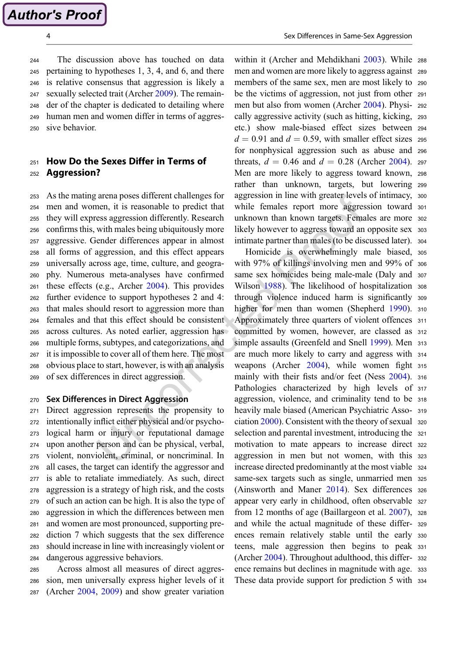The discussion above has touched on data pertaining to hypotheses 1, 3, 4, and 6, and there is relative consensus that aggression is likely a sexually selected trait (Archer [2009\)](#page-12-0). The remain- der of the chapter is dedicated to detailing where human men and women differ in terms of aggres-sive behavior.

#### <sup>251</sup> How Do the Sexes Differ in Terms of <sup>252</sup> Aggression?

 As the mating arena poses different challenges for men and women, it is reasonable to predict that they will express aggression differently. Research confirms this, with males being ubiquitously more aggressive. Gender differences appear in almost all forms of aggression, and this effect appears universally across age, time, culture, and geogra- phy. Numerous meta-analyses have confirmed these effects (e.g., Archer [2004](#page-12-0)). This provides further evidence to support hypotheses 2 and 4: that males should resort to aggression more than females and that this effect should be consistent across cultures. As noted earlier, aggression has multiple forms, subtypes, and categorizations, and it is impossible to cover all of them here. The most obvious place to start, however, is with an analysis of sex differences in direct aggression.

#### <sup>270</sup> Sex Differences in Direct Aggression

 Direct aggression represents the propensity to intentionally inflict either physical and/or psycho- logical harm or injury or reputational damage upon another person and can be physical, verbal, violent, nonviolent, criminal, or noncriminal. In all cases, the target can identify the aggressor and is able to retaliate immediately. As such, direct aggression is a strategy of high risk, and the costs of such an action can be high. It is also the type of aggression in which the differences between men and women are most pronounced, supporting pre- diction 7 which suggests that the sex difference should increase in line with increasingly violent or dangerous aggressive behaviors.

<sup>285</sup> Across almost all measures of direct aggres-<sup>286</sup> sion, men universally express higher levels of it <sup>287</sup> (Archer [2004](#page-12-0), [2009](#page-12-0)) and show greater variation

within it (Archer and Mehdikhani [2003\)](#page-12-0). While <sup>288</sup> men and women are more likely to aggress against <sup>289</sup> members of the same sex, men are most likely to <sup>290</sup> be the victims of aggression, not just from other <sup>291</sup> men but also from women (Archer [2004\)](#page-12-0). Physi- <sup>292</sup> cally aggressive activity (such as hitting, kicking, <sup>293</sup> etc.) show male-biased effect sizes between <sup>294</sup>  $d = 0.91$  and  $d = 0.59$ , with smaller effect sizes 295 for nonphysical aggression such as abuse and <sup>296</sup> threats,  $d = 0.46$  and  $d = 0.28$  (Archer [2004\)](#page-12-0). 297 Men are more likely to aggress toward known, <sup>298</sup> rather than unknown, targets, but lowering <sup>299</sup> aggression in line with greater levels of intimacy, <sup>300</sup> while females report more aggression toward <sup>301</sup> unknown than known targets. Females are more <sup>302</sup> likely however to aggress toward an opposite sex 303 intimate partner than males (to be discussed later). <sup>304</sup>

Homicide is overwhelmingly male biased, <sup>305</sup> with 97% of killings involving men and 99% of <sup>306</sup> same sex homicides being male-male (Daly and 307 Wilson [1988](#page-12-0)). The likelihood of hospitalization <sup>308</sup> through violence induced harm is significantly <sup>309</sup> higher for men than women (Shepherd [1990\)](#page-12-0). 310 Approximately three quarters of violent offences <sup>311</sup> committed by women, however, are classed as <sup>312</sup> simple assaults (Greenfeld and Snell [1999\)](#page-12-0). Men <sup>313</sup> are much more likely to carry and aggress with <sup>314</sup> weapons (Archer [2004](#page-12-0)), while women fight 315 mainly with their fists and/or feet (Ness [2004\)](#page-12-0). <sup>316</sup> Pathologies characterized by high levels of <sup>317</sup> aggression, violence, and criminality tend to be <sup>318</sup> heavily male biased (American Psychiatric Asso- <sup>319</sup> ciation [2000\)](#page-12-0). Consistent with the theory of sexual <sup>320</sup> selection and parental investment, introducing the <sup>321</sup> motivation to mate appears to increase direct <sup>322</sup> aggression in men but not women, with this <sup>323</sup> increase directed predominantly at the most viable <sup>324</sup> same-sex targets such as single, unmarried men <sup>325</sup> (Ainsworth and Maner [2014\)](#page-12-0). Sex differences <sup>326</sup> appear very early in childhood, often observable <sup>327</sup> from 12 months of age (Baillargeon et al. [2007\)](#page-12-0), <sup>328</sup> and while the actual magnitude of these differ- <sup>329</sup> ences remain relatively stable until the early <sup>330</sup> teens, male aggression then begins to peak <sup>331</sup> (Archer [2004\)](#page-12-0). Throughout adulthood, this differ- <sup>332</sup> ence remains but declines in magnitude with age. <sup>333</sup> These data provide support for prediction 5 with <sup>334</sup>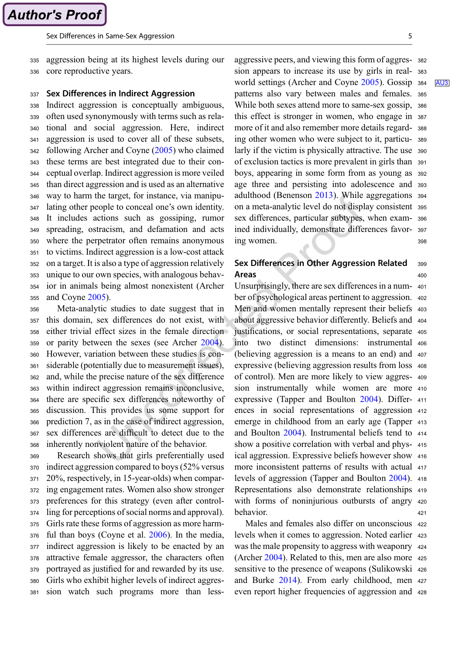<sup>335</sup> aggression being at its highest levels during our <sup>336</sup> core reproductive years.

#### 337 Sex Differences in Indirect Aggression

 Indirect aggression is conceptually ambiguous, often used synonymously with terms such as rela- tional and social aggression. Here, indirect aggression is used to cover all of these subsets, following Archer and Coyne [\(2005](#page-12-0)) who claimed these terms are best integrated due to their con- ceptual overlap. Indirect aggression is more veiled than direct aggression and is used as an alternative way to harm the target, for instance, via manipu- lating other people to conceal one's own identity. It includes actions such as gossiping, rumor spreading, ostracism, and defamation and acts where the perpetrator often remains anonymous to victims. Indirect aggression is a low-cost attack on a target. It is also a type of aggression relatively unique to our own species, with analogous behav- ior in animals being almost nonexistent (Archer and Coyne [2005\)](#page-12-0).

 Meta-analytic studies to date suggest that in this domain, sex differences do not exist, with either trivial effect sizes in the female direction or parity between the sexes (see Archer [2004\)](#page-12-0). However, variation between these studies is con- siderable (potentially due to measurement issues), and, while the precise nature of the sex difference within indirect aggression remains inconclusive, there are specific sex differences noteworthy of discussion. This provides us some support for prediction 7, as in the case of indirect aggression, sex differences are difficult to detect due to the inherently nonviolent nature of the behavior.

 Research shows that girls preferentially used indirect aggression compared to boys (52% versus 20%, respectively, in 15-year-olds) when compar- ing engagement rates. Women also show stronger preferences for this strategy (even after control- ling for perceptions of social norms and approval). Girls rate these forms of aggression as more harm- ful than boys (Coyne et al. [2006\)](#page-12-0). In the media, indirect aggression is likely to be enacted by an attractive female aggressor, the characters often portrayed as justified for and rewarded by its use. Girls who exhibit higher levels of indirect aggres-sion watch such programs more than lessaggressive peers, and viewing this form of aggres- <sup>382</sup> sion appears to increase its use by girls in real- <sup>383</sup> world settings (Archer and Coyne [2005](#page-12-0)). Gossip 384 patterns also vary between males and females. <sup>385</sup> While both sexes attend more to same-sex gossip, <sup>386</sup> this effect is stronger in women, who engage in <sup>387</sup> more of it and also remember more details regard- <sup>388</sup> ing other women who were subject to it, particu- <sup>389</sup> larly if the victim is physically attractive. The use <sup>390</sup> of exclusion tactics is more prevalent in girls than <sup>391</sup> boys, appearing in some form from as young as <sup>392</sup> age three and persisting into adolescence and <sup>393</sup> adulthood (Benenson [2013\)](#page-12-0). While aggregations <sup>394</sup> on a meta-analytic level do not display consistent <sup>395</sup> sex differences, particular subtypes, when exam- <sup>396</sup> ined individually, demonstrate differences favor- <sup>397</sup> ing women. 398

#### Sex Differences in Other Aggression Related 399 Areas 400

Unsurprisingly, there are sex differences in a num- <sup>401</sup> ber of psychological areas pertinent to aggression. <sup>402</sup> Men and women mentally represent their beliefs <sup>403</sup> about aggressive behavior differently. Beliefs and <sup>404</sup> justifications, or social representations, separate <sup>405</sup> into two distinct dimensions: instrumental <sup>406</sup> (believing aggression is a means to an end) and <sup>407</sup> expressive (believing aggression results from loss <sup>408</sup> of control). Men are more likely to view aggres- <sup>409</sup> sion instrumentally while women are more <sup>410</sup> expressive (Tapper and Boulton [2004](#page-12-0)). Differ- <sup>411</sup> ences in social representations of aggression <sup>412</sup> emerge in childhood from an early age (Tapper <sup>413</sup> and Boulton [2004\)](#page-12-0). Instrumental beliefs tend to <sup>414</sup> show a positive correlation with verbal and phys- <sup>415</sup> ical aggression. Expressive beliefs however show <sup>416</sup> more inconsistent patterns of results with actual <sup>417</sup> levels of aggression (Tapper and Boulton [2004\)](#page-12-0). <sup>418</sup> Representations also demonstrate relationships <sup>419</sup> with forms of noninjurious outbursts of angry 420 behavior. 421

Males and females also differ on unconscious <sup>422</sup> levels when it comes to aggression. Noted earlier <sup>423</sup> was the male propensity to aggress with weaponry <sup>424</sup> (Archer [2004\)](#page-12-0). Related to this, men are also more <sup>425</sup> sensitive to the presence of weapons (Sulikowski <sup>426</sup> and Burke [2014\)](#page-12-0). From early childhood, men <sup>427</sup> even report higher frequencies of aggression and <sup>428</sup>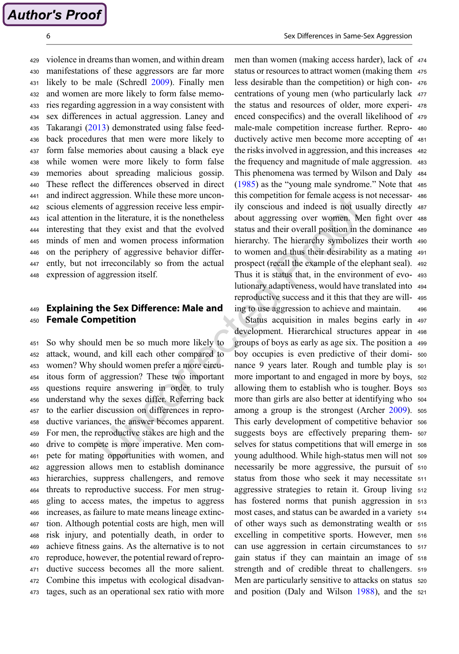<span id="page-6-0"></span>

 violence in dreams than women, and within dream manifestations of these aggressors are far more likely to be male (Schredl [2009](#page-12-0)). Finally men and women are more likely to form false memo- ries regarding aggression in a way consistent with sex differences in actual aggression. Laney and Takarangi ([2013\)](#page-12-0) demonstrated using false feed- back procedures that men were more likely to form false memories about causing a black eye while women were more likely to form false memories about spreading malicious gossip. These reflect the differences observed in direct and indirect aggression. While these more uncon- scious elements of aggression receive less empir- ical attention in the literature, it is the nonetheless interesting that they exist and that the evolved minds of men and women process information on the periphery of aggressive behavior differ- ently, but not irreconcilably so from the actual expression of aggression itself.

#### <sup>449</sup> Explaining the Sex Difference: Male and <sup>450</sup> Female Competition

 So why should men be so much more likely to attack, wound, and kill each other compared to women? Why should women prefer a more circu- itous form of aggression? These two important questions require answering in order to truly understand why the sexes differ. Referring back to the earlier discussion on differences in repro- ductive variances, the answer becomes apparent. For men, the reproductive stakes are high and the drive to compete is more imperative. Men com- pete for mating opportunities with women, and aggression allows men to establish dominance hierarchies, suppress challengers, and remove threats to reproductive success. For men strug- gling to access mates, the impetus to aggress increases, as failure to mate means lineage extinc- tion. Although potential costs are high, men will risk injury, and potentially death, in order to achieve fitness gains. As the alternative is to not reproduce, however, the potential reward of repro- ductive success becomes all the more salient. Combine this impetus with ecological disadvan-tages, such as an operational sex ratio with more

men than women (making access harder), lack of <sup>474</sup> status or resources to attract women (making them <sup>475</sup> less desirable than the competition) or high con- <sup>476</sup> centrations of young men (who particularly lack <sup>477</sup> the status and resources of older, more experi- <sup>478</sup> enced conspecifics) and the overall likelihood of <sup>479</sup> male-male competition increase further. Repro- <sup>480</sup> ductively active men become more accepting of <sup>481</sup> the risks involved in aggression, and this increases <sup>482</sup> the frequency and magnitude of male aggression. <sup>483</sup> This phenomena was termed by Wilson and Daly <sup>484</sup> [\(1985](#page-12-0)) as the "young male syndrome." Note that <sup>485</sup> this competition for female access is not necessar- <sup>486</sup> ily conscious and indeed is not usually directly <sup>487</sup> about aggressing over women. Men fight over <sup>488</sup> status and their overall position in the dominance <sup>489</sup> hierarchy. The hierarchy symbolizes their worth <sup>490</sup> to women and thus their desirability as a mating <sup>491</sup> prospect (recall the example of the elephant seal). <sup>492</sup> Thus it is status that, in the environment of evo- <sup>493</sup> lutionary adaptiveness, would have translated into <sup>494</sup> reproductive success and it this that they are will- <sup>495</sup> ing to use aggression to achieve and maintain. <sup>496</sup>

Status acquisition in males begins early in <sup>497</sup> development. Hierarchical structures appear in <sup>498</sup> groups of boys as early as age six. The position a <sup>499</sup> boy occupies is even predictive of their domi- <sup>500</sup> nance 9 years later. Rough and tumble play is  $501$ more important to and engaged in more by boys, <sup>502</sup> allowing them to establish who is tougher. Boys <sup>503</sup> more than girls are also better at identifying who <sup>504</sup> among a group is the strongest (Archer [2009\)](#page-12-0). <sup>505</sup> This early development of competitive behavior  $506$ suggests boys are effectively preparing them- <sup>507</sup> selves for status competitions that will emerge in <sup>508</sup> young adulthood. While high-status men will not <sup>509</sup> necessarily be more aggressive, the pursuit of <sup>510</sup> status from those who seek it may necessitate <sup>511</sup> aggressive strategies to retain it. Group living <sup>512</sup> has fostered norms that punish aggression in <sup>513</sup> most cases, and status can be awarded in a variety <sup>514</sup> of other ways such as demonstrating wealth or <sup>515</sup> excelling in competitive sports. However, men <sup>516</sup> can use aggression in certain circumstances to <sup>517</sup> gain status if they can maintain an image of <sup>518</sup> strength and of credible threat to challengers. <sup>519</sup> Men are particularly sensitive to attacks on status 520 and position (Daly and Wilson [1988](#page-12-0)), and the <sup>521</sup>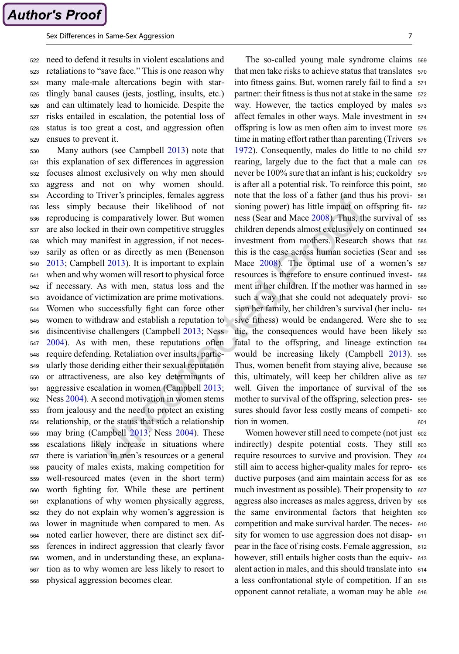### Sex Differences in Same-Sex Aggression 7 (1991) and the sex Aggression 7 (1991) and the sex Aggression 7 (1991)

 need to defend it results in violent escalations and retaliations to "save face." This is one reason why many male-male altercations begin with star- tlingly banal causes (jests, jostling, insults, etc.) and can ultimately lead to homicide. Despite the risks entailed in escalation, the potential loss of status is too great a cost, and aggression often ensues to prevent it.

 Many authors (see Campbell [2013](#page-12-0)) note that this explanation of sex differences in aggression focuses almost exclusively on why men should aggress and not on why women should. According to Triver's principles, females aggress less simply because their likelihood of not reproducing is comparatively lower. But women are also locked in their own competitive struggles which may manifest in aggression, if not neces- sarily as often or as directly as men (Benenson [2013;](#page-12-0) Campbell [2013](#page-12-0)). It is important to explain when and why women will resort to physical force if necessary. As with men, status loss and the avoidance of victimization are prime motivations. Women who successfully fight can force other women to withdraw and establish a reputation to disincentivise challengers (Campbell [2013](#page-12-0); Ness [2004\)](#page-12-0). As with men, these reputations often require defending. Retaliation over insults, partic- ularly those deriding either their sexual reputation or attractiveness, are also key determinants of aggressive escalation in women (Campbell [2013;](#page-12-0) Ness [2004](#page-12-0)). A second motivation in women stems from jealousy and the need to protect an existing relationship, or the status that such a relationship may bring (Campbell [2013;](#page-12-0) Ness [2004](#page-12-0)). These escalations likely increase in situations where there is variation in men's resources or a general paucity of males exists, making competition for well-resourced mates (even in the short term) worth fighting for. While these are pertinent explanations of why women physically aggress, they do not explain why women's aggression is lower in magnitude when compared to men. As noted earlier however, there are distinct sex dif- ferences in indirect aggression that clearly favor women, and in understanding these, an explana- tion as to why women are less likely to resort to physical aggression becomes clear.

that men take risks to achieve status that translates 570 into fitness gains. But, women rarely fail to find a <sup>571</sup> partner: their fitness is thus not at stake in the same 572 way. However, the tactics employed by males <sup>573</sup> affect females in other ways. Male investment in <sup>574</sup> offspring is low as men often aim to invest more <sup>575</sup> time in mating effort rather than parenting (Trivers <sup>576</sup> [1972\)](#page-12-0). Consequently, males do little to no child  $577$ rearing, largely due to the fact that a male can <sup>578</sup> never be 100% sure that an infant is his; cuckoldry 579 is after all a potential risk. To reinforce this point, <sup>580</sup> note that the loss of a father (and thus his provi- <sup>581</sup> sioning power) has little impact on offspring fit- <sup>582</sup> ness (Sear and Mace [2008\)](#page-12-0). Thus, the survival of 583 children depends almost exclusively on continued <sup>584</sup> investment from mothers. Research shows that <sup>585</sup> this is the case across human societies (Sear and <sup>586</sup> Mace [2008\)](#page-12-0). The optimal use of a women's 587 resources is therefore to ensure continued invest- <sup>588</sup> ment in her children. If the mother was harmed in 589 such a way that she could not adequately provi- <sup>590</sup> sion her family, her children's survival (her inclu- <sup>591</sup> sive fitness) would be endangered. Were she to <sup>592</sup> die, the consequences would have been likely <sup>593</sup> fatal to the offspring, and lineage extinction <sup>594</sup> would be increasing likely (Campbell [2013\)](#page-12-0). <sup>595</sup> Thus, women benefit from staying alive, because <sup>596</sup> this, ultimately, will keep her children alive as <sup>597</sup> well. Given the importance of survival of the <sup>598</sup> mother to survival of the offspring, selection pres- <sup>599</sup> sures should favor less costly means of competi- <sup>600</sup> tion in women. 601

The so-called young male syndrome claims <sup>569</sup>

Women however still need to compete (not just 602) indirectly) despite potential costs. They still <sup>603</sup> require resources to survive and provision. They <sup>604</sup> still aim to access higher-quality males for repro- <sup>605</sup> ductive purposes (and aim maintain access for as  $606$ much investment as possible). Their propensity to 607 aggress also increases as males aggress, driven by <sup>608</sup> the same environmental factors that heighten <sup>609</sup> competition and make survival harder. The neces- <sup>610</sup> sity for women to use aggression does not disap- <sup>611</sup> pear in the face of rising costs. Female aggression, <sup>612</sup> however, still entails higher costs than the equiv- <sup>613</sup> alent action in males, and this should translate into <sup>614</sup> a less confrontational style of competition. If an <sup>615</sup> opponent cannot retaliate, a woman may be able <sup>616</sup>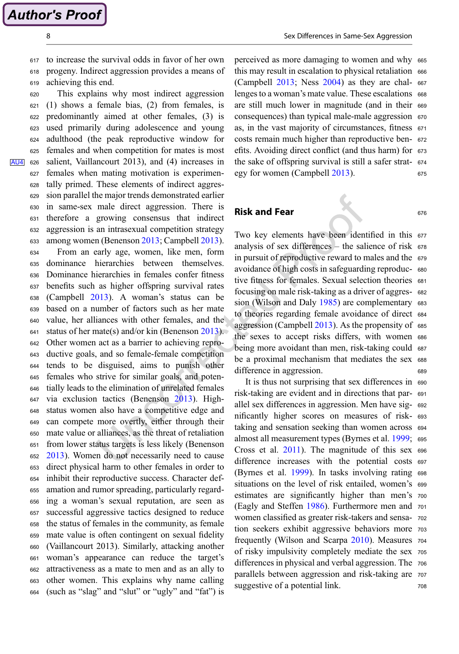8 Sex Differences in Same-Sex Aggression

<sup>617</sup> to increase the survival odds in favor of her own <sup>618</sup> progeny. Indirect aggression provides a means of <sup>619</sup> achieving this end.

 This explains why most indirect aggression (1) shows a female bias, (2) from females, is predominantly aimed at other females, (3) is used primarily during adolescence and young adulthood (the peak reproductive window for females and when competition for mates is most AU4 <sup>626</sup> salient, Vaillancourt 2013), and (4) increases in females when mating motivation is experimen- tally primed. These elements of indirect aggres- sion parallel the major trends demonstrated earlier in same-sex male direct aggression. There is therefore a growing consensus that indirect aggression is an intrasexual competition strategy among women (Benenson [2013;](#page-12-0) Campbell [2013\)](#page-12-0). From an early age, women, like men, form dominance hierarchies between themselves. Dominance hierarchies in females confer fitness benefits such as higher offspring survival rates (Campbell [2013](#page-12-0)). A woman's status can be based on a number of factors such as her mate value, her alliances with other females, and the 641 status of her mate(s) and/or kin (Benenson  $2013$ ). Other women act as a barrier to achieving repro- ductive goals, and so female-female competition tends to be disguised, aims to punish other females who strive for similar goals, and poten- tially leads to the elimination of unrelated females via exclusion tactics (Benenson [2013\)](#page-12-0). High- status women also have a competitive edge and can compete more overtly, either through their mate value or alliances, as the threat of retaliation from lower status targets is less likely (Benenson [2013\)](#page-12-0). Women do not necessarily need to cause direct physical harm to other females in order to inhibit their reproductive success. Character def- amation and rumor spreading, particularly regard- ing a woman's sexual reputation, are seen as successful aggressive tactics designed to reduce the status of females in the community, as female mate value is often contingent on sexual fidelity (Vaillancourt 2013). Similarly, attacking another woman's appearance can reduce the target's attractiveness as a mate to men and as an ally to other women. This explains why name calling (such as "slag" and "slut" or "ugly" and "fat") is

perceived as more damaging to women and why <sup>665</sup> this may result in escalation to physical retaliation <sup>666</sup> (Campbell [2013](#page-12-0); Ness [2004](#page-12-0)) as they are chal- <sup>667</sup> lenges to a woman's mate value. These escalations 668 are still much lower in magnitude (and in their <sup>669</sup> consequences) than typical male-male aggression <sup>670</sup> as, in the vast majority of circumstances, fitness <sup>671</sup> costs remain much higher than reproductive ben- <sup>672</sup> efits. Avoiding direct conflict (and thus harm) for <sup>673</sup> the sake of offspring survival is still a safer strat- <sup>674</sup> egy for women (Campbell [2013](#page-12-0)). 675

Risk and Fear 676

Two key elements have been identified in this 677 analysis of sex differences – the salience of risk <sup>678</sup> in pursuit of reproductive reward to males and the <sup>679</sup> avoidance of high costs in safeguarding reproduc- <sup>680</sup> tive fitness for females. Sexual selection theories 681 focusing on male risk-taking as a driver of aggres- <sup>682</sup> sion (Wilson and Daly [1985](#page-12-0)) are complementary 683 to theories regarding female avoidance of direct <sup>684</sup> aggression (Campbell [2013](#page-12-0)). As the propensity of 685 the sexes to accept risks differs, with women <sup>686</sup> being more avoidant than men, risk-taking could 687 be a proximal mechanism that mediates the sex <sup>688</sup> difference in aggression. 689

It is thus not surprising that sex differences in <sup>690</sup> risk-taking are evident and in directions that par- <sup>691</sup> allel sex differences in aggression. Men have sig- <sup>692</sup> nificantly higher scores on measures of risk- <sup>693</sup> taking and sensation seeking than women across <sup>694</sup> almost all measurement types (Byrnes et al. [1999;](#page-12-0) <sup>695</sup> Cross et al. [2011](#page-12-0)). The magnitude of this sex <sup>696</sup> difference increases with the potential costs <sup>697</sup> (Byrnes et al. [1999\)](#page-12-0). In tasks involving rating <sup>698</sup> situations on the level of risk entailed, women's 699 estimates are significantly higher than men's <sup>700</sup> (Eagly and Steffen [1986\)](#page-12-0). Furthermore men and <sup>701</sup> women classified as greater risk-takers and sensa- <sup>702</sup> tion seekers exhibit aggressive behaviors more <sup>703</sup> frequently (Wilson and Scarpa [2010](#page-12-0)). Measures <sup>704</sup> of risky impulsivity completely mediate the sex <sup>705</sup> differences in physical and verbal aggression. The <sup>706</sup> parallels between aggression and risk-taking are 707 suggestive of a potential link.  $\frac{708}{200}$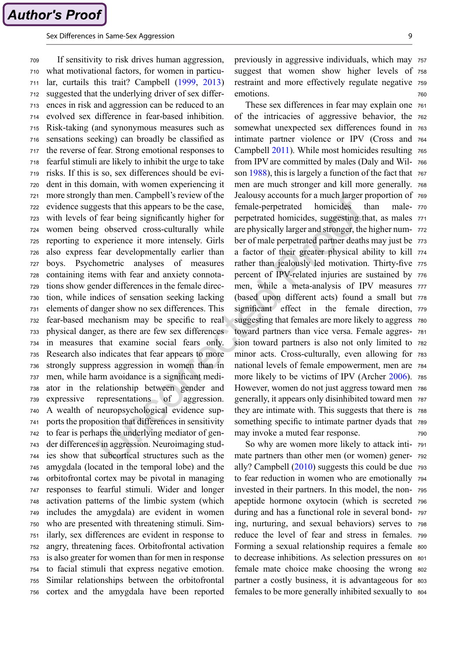#### Sex Differences in Same-Sex Aggression 9.9 (1991) and the sex Aggression 9.9 (1991) and the sex Aggression 9.9

 If sensitivity to risk drives human aggression, what motivational factors, for women in particu- lar, curtails this trait? Campbell ([1999](#page-12-0), [2013](#page-12-0)) suggested that the underlying driver of sex differ- ences in risk and aggression can be reduced to an evolved sex difference in fear-based inhibition. Risk-taking (and synonymous measures such as sensations seeking) can broadly be classified as the reverse of fear. Strong emotional responses to fearful stimuli are likely to inhibit the urge to take risks. If this is so, sex differences should be evi- dent in this domain, with women experiencing it more strongly than men. Campbell's review of the evidence suggests that this appears to be the case, with levels of fear being significantly higher for women being observed cross-culturally while reporting to experience it more intensely. Girls also express fear developmentally earlier than boys. Psychometric analyses of measures containing items with fear and anxiety connota- tions show gender differences in the female direc- tion, while indices of sensation seeking lacking elements of danger show no sex differences. This fear-based mechanism may be specific to real physical danger, as there are few sex differences in measures that examine social fears only. Research also indicates that fear appears to more strongly suppress aggression in women than in men, while harm avoidance is a significant medi- ator in the relationship between gender and expressive representations of aggression. A wealth of neuropsychological evidence sup- ports the proposition that differences in sensitivity to fear is perhaps the underlying mediator of gen- der differences in aggression. Neuroimaging stud- ies show that subcortical structures such as the amygdala (located in the temporal lobe) and the orbitofrontal cortex may be pivotal in managing responses to fearful stimuli. Wider and longer activation patterns of the limbic system (which includes the amygdala) are evident in women who are presented with threatening stimuli. Sim- ilarly, sex differences are evident in response to angry, threatening faces. Orbitofrontal activation is also greater for women than for men in response to facial stimuli that express negative emotion. Similar relationships between the orbitofrontal cortex and the amygdala have been reported

previously in aggressive individuals, which may <sup>757</sup> suggest that women show higher levels of <sup>758</sup> restraint and more effectively regulate negative <sup>759</sup> emotions. 760

These sex differences in fear may explain one <sup>761</sup> of the intricacies of aggressive behavior, the <sup>762</sup> somewhat unexpected sex differences found in <sup>763</sup> intimate partner violence or IPV (Cross and <sup>764</sup> Campbell [2011\)](#page-12-0). While most homicides resulting 765 from IPV are committed by males (Daly and Wil- <sup>766</sup> son [1988\)](#page-12-0), this is largely a function of the fact that 767 men are much stronger and kill more generally. <sup>768</sup> Jealousy accounts for a much larger proportion of <sup>769</sup> female-perpetrated homicides than male- <sup>770</sup> perpetrated homicides, suggesting that, as males <sup>771</sup> are physically larger and stronger, the higher num- <sup>772</sup> ber of male perpetrated partner deaths may just be 773 a factor of their greater physical ability to kill <sup>774</sup> rather than jealously led motivation. Thirty-five 775 percent of IPV-related injuries are sustained by <sup>776</sup> men, while a meta-analysis of IPV measures  $777$ (based upon different acts) found a small but <sup>778</sup> significant effect in the female direction,  $779$ suggesting that females are more likely to aggress <sup>780</sup> toward partners than vice versa. Female aggres- <sup>781</sup> sion toward partners is also not only limited to <sup>782</sup> minor acts. Cross-culturally, even allowing for <sup>783</sup> national levels of female empowerment, men are <sup>784</sup> more likely to be victims of IPV (Archer [2006\)](#page-12-0). 785 However, women do not just aggress toward men <sup>786</sup> generally, it appears only disinhibited toward men <sup>787</sup> they are intimate with. This suggests that there is <sup>788</sup> something specific to intimate partner dyads that <sup>789</sup> may invoke a muted fear response. The response

So why are women more likely to attack inti- <sup>791</sup> mate partners than other men (or women) gener- <sup>792</sup> ally? Campbell ([2010\)](#page-12-0) suggests this could be due <sup>793</sup> to fear reduction in women who are emotionally <sup>794</sup> invested in their partners. In this model, the non- <sup>795</sup> apeptide hormone oxytocin (which is secreted <sup>796</sup> during and has a functional role in several bond- <sup>797</sup> ing, nurturing, and sexual behaviors) serves to <sup>798</sup> reduce the level of fear and stress in females. <sup>799</sup> Forming a sexual relationship requires a female 800 to decrease inhibitions. As selection pressures on 801 female mate choice make choosing the wrong <sup>802</sup> partner a costly business, it is advantageous for <sup>803</sup> females to be more generally inhibited sexually to 804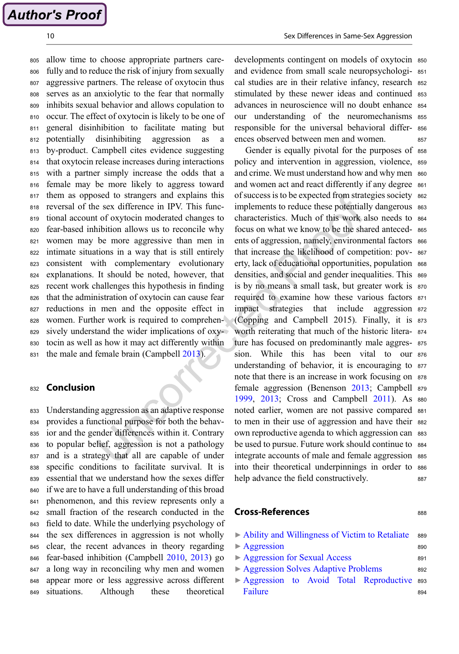allow time to choose appropriate partners care- fully and to reduce the risk of injury from sexually aggressive partners. The release of oxytocin thus serves as an anxiolytic to the fear that normally inhibits sexual behavior and allows copulation to occur. The effect of oxytocin is likely to be one of general disinhibition to facilitate mating but potentially disinhibiting aggression as a by-product. Campbell cites evidence suggesting that oxytocin release increases during interactions with a partner simply increase the odds that a female may be more likely to aggress toward them as opposed to strangers and explains this reversal of the sex difference in IPV. This func- tional account of oxytocin moderated changes to fear-based inhibition allows us to reconcile why women may be more aggressive than men in intimate situations in a way that is still entirely consistent with complementary evolutionary explanations. It should be noted, however, that recent work challenges this hypothesis in finding that the administration of oxytocin can cause fear reductions in men and the opposite effect in women. Further work is required to comprehen- sively understand the wider implications of oxy- tocin as well as how it may act differently within the male and female brain (Campbell [2013\)](#page-12-0).

#### 832 **Conclusion**

 Understanding aggression as an adaptive response provides a functional purpose for both the behav- ior and the gender differences within it. Contrary to popular belief, aggression is not a pathology and is a strategy that all are capable of under specific conditions to facilitate survival. It is essential that we understand how the sexes differ if we are to have a full understanding of this broad phenomenon, and this review represents only a small fraction of the research conducted in the field to date. While the underlying psychology of the sex differences in aggression is not wholly clear, the recent advances in theory regarding fear-based inhibition (Campbell [2010](#page-12-0), [2013\)](#page-12-0) go a long way in reconciling why men and women appear more or less aggressive across different situations. Although these theoretical

developments contingent on models of oxytocin <sup>850</sup> and evidence from small scale neuropsychologi- <sup>851</sup>

cal studies are in their relative infancy, research <sup>852</sup> stimulated by these newer ideas and continued <sup>853</sup> advances in neuroscience will no doubt enhance <sup>854</sup> our understanding of the neuromechanisms <sup>855</sup> responsible for the universal behavioral differ- <sup>856</sup> ences observed between men and women.  $857$ 

Gender is equally pivotal for the purposes of 858 policy and intervention in aggression, violence, <sup>859</sup> and crime. We must understand how and why men 860 and women act and react differently if any degree 861 of success is to be expected from strategies society <sup>862</sup> implements to reduce these potentially dangerous 863 characteristics. Much of this work also needs to <sup>864</sup> focus on what we know to be the shared anteced- <sup>865</sup> ents of aggression, namely, environmental factors 866 that increase the likelihood of competition: pov- <sup>867</sup> erty, lack of educational opportunities, population <sup>868</sup> densities, and social and gender inequalities. This 869 is by no means a small task, but greater work is <sup>870</sup> required to examine how these various factors <sup>871</sup> impact strategies that include aggression <sup>872</sup> (Copping and Campbell 2015). Finally, it is <sup>873</sup> worth reiterating that much of the historic litera- <sup>874</sup> ture has focused on predominantly male aggres- <sup>875</sup> sion. While this has been vital to our <sup>876</sup> understanding of behavior, it is encouraging to 877 note that there is an increase in work focusing on <sup>878</sup> female aggression (Benenson [2013;](#page-12-0) Campbell <sup>879</sup> [1999,](#page-12-0) [2013;](#page-12-0) Cross and Campbell [2011](#page-12-0)). As <sup>880</sup> noted earlier, women are not passive compared <sup>881</sup> to men in their use of aggression and have their 882 own reproductive agenda to which aggression can <sup>883</sup> be used to pursue. Future work should continue to 884 integrate accounts of male and female aggression <sup>885</sup> into their theoretical underpinnings in order to <sup>886</sup> help advance the field constructively. 887

#### Cross-References <sup>888</sup>

|  |  |  | Ability and Willingness of Victim to Retaliate 889 |  |  |  |  |
|--|--|--|----------------------------------------------------|--|--|--|--|
|--|--|--|----------------------------------------------------|--|--|--|--|

- **[Aggression](http://link.springer.com/Aggression)** 890
- **[Aggression for Sexual Access](http://link.springer.com/Aggression for Sexual Access)** 891
- **[Aggression Solves Adaptive Problems](http://link.springer.com/Aggression Solves Adaptive Problems)** 892
- ▶ [Aggression to Avoid Total Reproductive](http://link.springer.com/Aggression to Avoid Total Reproductive Failure) <sup>893</sup> [Failure](http://link.springer.com/Aggression to Avoid Total Reproductive Failure) 894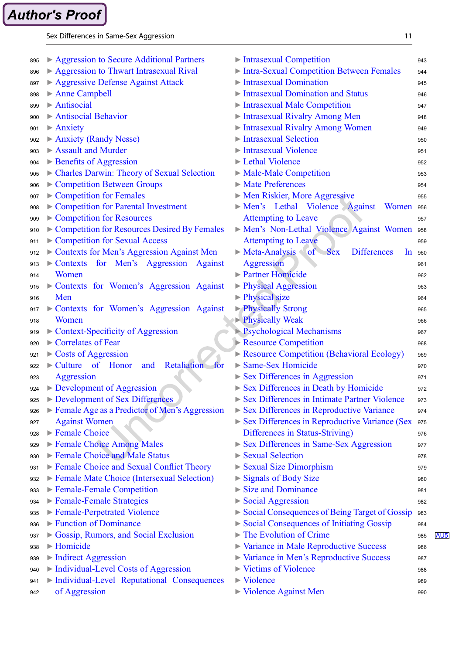# **Author's Proof**

| 895 | Aggression to Secure Additional Partners                             | $\blacktriangleright$ Intrasexua           |
|-----|----------------------------------------------------------------------|--------------------------------------------|
| 896 | Aggression to Thwart Intrasexual Rival                               | $\triangleright$ Intra-Sexu                |
| 897 | Aggressive Defense Against Attack                                    | $\triangleright$ Intrasexua                |
| 898 | Anne Campbell                                                        | $\triangleright$ Intrasexua                |
| 899 | $\triangleright$ Antisocial                                          | $\triangleright$ Intrasexua                |
| 900 | Antisocial Behavior                                                  | $\triangleright$ Intrasexua                |
| 901 | $\triangleright$ Anxiety                                             | $\triangleright$ Intrasexua                |
| 902 | Anxiety (Randy Nesse)                                                | $\triangleright$ Intrasexua                |
| 903 | Assault and Murder                                                   | $\triangleright$ Intrasexua                |
| 904 | $\triangleright$ Benefits of Aggression                              | Elethal Vio                                |
| 905 | Charles Darwin: Theory of Sexual Selection                           | $\blacktriangleright$ Male-Male            |
| 906 | Competition Between Groups                                           | Mate Prefe                                 |
| 907 | Competition for Females                                              | $\triangleright$ Men Riski                 |
| 908 | Competition for Parental Investment                                  | $\blacktriangleright$ Men's<br>- L         |
| 909 | Competition for Resources                                            | Attempting                                 |
| 910 | Competition for Resources Desired By Females                         | $\triangleright$ Men's No                  |
| 911 | Competition for Sexual Access                                        | Attempting                                 |
| 912 | Contexts for Men's Aggression Against Men                            | $\triangleright$ Meta-Anal                 |
| 913 | for Men's Aggression<br>$\triangleright$ Contexts<br><b>Against</b>  | Aggression                                 |
| 914 | Women                                                                | <b>Partner Ho</b>                          |
| 915 | for Women's Aggression Against<br>$\triangleright$ Contexts          | $\triangleright$ Physical A                |
| 916 | Men                                                                  | $\triangleright$ Physical si               |
| 917 | Contexts for Women's Aggression Against                              | Physically                                 |
| 918 | Women                                                                | <b>Physically</b>                          |
| 919 | Context-Specificity of Aggression                                    | $\triangleright$ Psycholog                 |
| 920 | Correlates of Fear                                                   | $\triangleright$ Resource (                |
| 921 | $\triangleright$ Costs of Aggression                                 | $\triangleright$ Resource (                |
| 922 | Retaliation<br>for<br>$\triangleright$ Culture<br>of<br>Honor<br>and | $\triangleright$ Same-Sex                  |
| 923 | Aggression                                                           | $\triangleright$ Sex Differ                |
| 924 | $\triangleright$ Development of Aggression                           | $\triangleright$ Sex Differ                |
| 925 | Development of Sex Differences                                       | Sex Differ                                 |
| 926 | > Female Age as a Predictor of Men's Aggression                      | $\triangleright$ Sex Differ                |
| 927 | <b>Against Women</b>                                                 | Sex Differ                                 |
| 928 | $\blacktriangleright$ Female Choice                                  | <b>Difference</b>                          |
| 929 | <b>Female Choice Among Males</b>                                     | $\triangleright$ Sex Differ                |
| 930 | Female Choice and Male Status                                        | Sexual Sel                                 |
|     | Female Choice and Sexual Conflict Theory                             | $\triangleright$ Sexual Siz                |
| 931 | Emale Mate Choice (Intersexual Selection)                            | $\triangleright$ Signals of                |
| 932 | Female-Female Competition                                            | $\triangleright$ Size and $\triangleright$ |
| 933 | Female-Female Strategies                                             | $\triangleright$ Social Agg                |
| 934 |                                                                      | Social Cor                                 |
| 935 | Female-Perpetrated Violence                                          |                                            |
| 936 | Eunction of Dominance                                                | Social Cor                                 |
| 937 | Gossip, Rumors, and Social Exclusion                                 | $\triangleright$ The Evolu                 |
| 938 | $\blacktriangleright$ Homicide                                       | $\triangleright$ Variance in               |
| 939 | $\triangleright$ Indirect Aggression                                 | $\triangleright$ Variance in               |
| 940 | Individual-Level Costs of Aggression                                 | $\triangleright$ Victims of                |
| 941 | Individual-Level Reputational Consequences                           | $\triangleright$ Violence                  |
| 942 | of Aggression                                                        | $\triangleright$ Violence A                |

| <b>Intrasexual Competition</b>                                     | 943 |                 |
|--------------------------------------------------------------------|-----|-----------------|
| <b>Intra-Sexual Competition Between Females</b>                    | 944 |                 |
| $\triangleright$ Intrasexual Domination                            | 945 |                 |
| $\triangleright$ Intrasexual Domination and Status                 | 946 |                 |
| <b>Intrasexual Male Competition</b>                                | 947 |                 |
| <b>Intrasexual Rivalry Among Men</b>                               | 948 |                 |
| <b>Intrasexual Rivalry Among Women</b>                             | 949 |                 |
| <b>Intrasexual Selection</b>                                       | 950 |                 |
| $\triangleright$ Intrasexual Violence                              | 951 |                 |
| $\blacktriangleright$ Lethal Violence                              | 952 |                 |
| $\triangleright$ Male-Male Competition                             | 953 |                 |
| $\triangleright$ Mate Preferences                                  | 954 |                 |
| Men Riskier, More Aggressive                                       | 955 |                 |
| $\blacktriangleright$ Men's<br>Violence Against<br>Lethal<br>Women | 956 |                 |
| <b>Attempting to Leave</b>                                         | 957 |                 |
| Men's Non-Lethal Violence Against Women                            | 958 |                 |
| <b>Attempting to Leave</b>                                         | 959 |                 |
| Meta-Analysis of Sex<br><b>Differences</b><br>In                   | 960 |                 |
| Aggression                                                         | 961 |                 |
| <b>Partner Homicide</b>                                            | 962 |                 |
| <b>Physical Aggression</b>                                         | 963 |                 |
| <b>Physical size</b>                                               | 964 |                 |
| <b>Physically Strong</b>                                           | 965 |                 |
| <b>Physically Weak</b>                                             | 966 |                 |
| $\triangleright$ Psychological Mechanisms                          | 967 |                 |
| Resource Competition                                               | 968 |                 |
| Resource Competition (Behavioral Ecology)                          | 969 |                 |
| $\triangleright$ Same-Sex Homicide                                 | 970 |                 |
| $\triangleright$ Sex Differences in Aggression                     | 971 |                 |
| Sex Differences in Death by Homicide                               | 972 |                 |
| $\triangleright$ Sex Differences in Intimate Partner Violence      | 973 |                 |
| Sex Differences in Reproductive Variance                           | 974 |                 |
| Sex Differences in Reproductive Variance (Sex                      | 975 |                 |
| Differences in Status-Striving)                                    | 976 |                 |
| Sex Differences in Same-Sex Aggression                             | 977 |                 |
| $\triangleright$ Sexual Selection                                  | 978 |                 |
| $\triangleright$ Sexual Size Dimorphism                            | 979 |                 |
| $\triangleright$ Signals of Body Size                              | 980 |                 |
| Size and Dominance                                                 | 981 |                 |
| Social Aggression                                                  | 982 |                 |
| Social Consequences of Being Target of Gossip                      | 983 |                 |
| Social Consequences of Initiating Gossip                           |     |                 |
| $\triangleright$ The Evolution of Crime                            | 984 |                 |
| ▶ Variance in Male Reproductive Success                            | 985 | AU <sub>5</sub> |
| Variance in Men's Reproductive Success                             | 986 |                 |
| $\triangleright$ Victims of Violence                               | 987 |                 |
| $\triangleright$ Violence                                          | 988 |                 |
|                                                                    | 989 |                 |
| $\triangleright$ Violence Against Men                              | 990 |                 |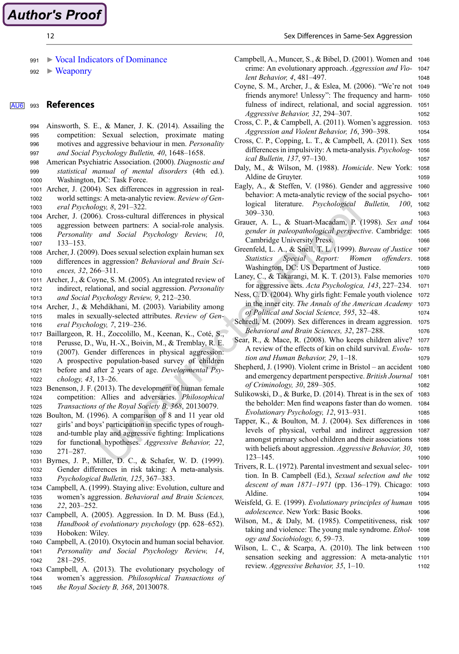<span id="page-12-0"></span>**Author's Proof** 

<sup>991</sup> ▶ [Vocal Indicators of Dominance](http://link.springer.com/Vocal Indicators of Dominance)

<sup>992</sup> ▶ [Weaponry](http://link.springer.com/Weaponry)

#### **AU6** 993 References

- 994 Ainsworth, S. E., & Maner, J. K. (2014). Assailing the 995 competition: Sexual selection, proximate mating 996 motives and aggressive behaviour in men. Personality 997 and Social Psychology Bulletin, 40, 1648–1658.
- 998 American Psychiatric Association. (2000). Diagnostic and
- 999 statistical manual of mental disorders (4th ed.). 1000 Washington, DC: Task Force.
- 1001 Archer, J. (2004). Sex differences in aggression in real-1002 world settings: A meta-analytic review. Review of Gen-<sup>1003</sup> eral Psychology, 8, 291–322.
- 1004 Archer, J. (2006). Cross-cultural differences in physical 1005 aggression between partners: A social-role analysis.
- 1006 Personality and Social Psychology Review, 10, <sup>1007</sup> 133–153.
- 1008 Archer, J. (2009). Does sexual selection explain human sex 1009 differences in aggression? Behavioral and Brain Sci-
- 1010 ences, 32, 266-311. 1011 Archer, J., & Coyne, S. M. (2005). An integrated review of
- 1012 indirect, relational, and social aggression. Personality <sup>1013</sup> and Social Psychology Review, 9, 212–230.
- 1014 Archer, J., & Mehdikhani, M. (2003). Variability among 1015 males in sexually-selected attributes. Review of Gen-<sup>1016</sup> eral Psychology, 7, 219–236.
- 1017 Baillargeon, R. H., Zoccolillo, M., Keenan, K., Coté, S.,
- 1018 Perusse, D., Wu, H.-X., Boivin, M., & Tremblay, R. E.
- 1019 (2007). Gender differences in physical aggression:
- 1020 A prospective population-based survey of children 1021 before and after 2 years of age. Developmental Psy-
- <sup>1022</sup> chology, 43, 13–26.
- 1023 Benenson, J. F. (2013). The development of human female 1024 competition: Allies and adversaries. Philosophical 1025 Transactions of the Royal Society B, 368, 20130079.
- 1026 Boulton, M. (1996). A comparison of 8 and 11 year old <sup>1027</sup> girls' and boys' participation in specific types of rough-<sup>1028</sup> and-tumble play and aggressive fighting: Implications 1029 for functional hypotheses. Aggressive Behavior, 22, <sup>1030</sup> 271–287.
- 1031 Byrnes, J. P., Miller, D. C., & Schafer, W. D. (1999). 1032 Gender differences in risk taking: A meta-analysis. <sup>1033</sup> Psychological Bulletin, 125, 367–383.
- 1034 Campbell, A. (1999). Staying alive: Evolution, culture and <sup>1035</sup> women's aggression. Behavioral and Brain Sciences, <sup>1036</sup> 22, 203–252.
- 1037 Campbell, A. (2005). Aggression. In D. M. Buss (Ed.), <sup>1038</sup> Handbook of evolutionary psychology (pp. 628–652). 1039 Hoboken: Wiley.
- 1040 Campbell, A. (2010). Oxytocin and human social behavior. 1041 Personality and Social Psychology Review, 14, <sup>1042</sup> 281–295.
- 1043 Campbell, A. (2013). The evolutionary psychology of <sup>1044</sup> women's aggression. Philosophical Transactions of
- 1045 the Royal Society B, 368, 20130078.
- Campbell, A., Muncer, S., & Bibel, D. (2001). Women and 1046 crime: An evolutionary approach. Aggression and Vio- 1047 lent Behavior, 4, 481–497. <sup>1048</sup>
- Coyne, S. M., Archer, J., & Eslea, M. (2006). "We're not <sup>1049</sup> friends anymore! Unlessy": The frequency and harm- <sup>1050</sup> fulness of indirect, relational, and social aggression. 1051 Aggressive Behavior, 32, 294–307. 1052
- Cross, C. P., & Campbell, A. (2011). Women's aggression. <sup>1053</sup> Aggression and Violent Behavior, 16, 390-398. 1054
- Cross, C. P., Copping, L. T., & Campbell, A. (2011). Sex 1055 differences in impulsivity: A meta-analysis. Psycholog- 1056 ical Bulletin, 137, 97–130. <sup>1057</sup>
- Daly, M., & Wilson, M. (1988). Homicide. New York: 1058 Aldine de Gruyter. 1059
- Eagly, A., & Steffen, V. (1986). Gender and aggressive 1060 behavior: A meta-analytic review of the social psycho- 1061 logical literature. Psychological Bulletin, 100, 1062 309–330. <sup>1063</sup>
- Grauer, A. L., & Stuart-Macadam, P. (1998). Sex and 1064 gender in paleopathological perspective. Cambridge: 1065 Cambridge University Press. 1066
- Greenfeld, L. A., & Snell, T. L. (1999). Bureau of Justice 1067 Statistics Special Report: Women offenders. 1068 Washington, DC: US Department of Justice. 1069
- Laney, C., & Takarangi, M. K. T. (2013). False memories 1070 for aggressive acts. Acta Psychologica, 143, 227–234. <sup>1071</sup>
- Ness, C. D. (2004). Why girls fight: Female youth violence <sup>1072</sup> in the inner city. The Annals of the American Academy 1073 of Political and Social Science, 595, 32–48. <sup>1074</sup>
- Schredl, M. (2009). Sex differences in dream aggression. 1075 Behavioral and Brain Sciences, 32, 287-288. 1076
- Sear, R., & Mace, R. (2008). Who keeps children alive? 1077 A review of the effects of kin on child survival. Evolu- 1078 tion and Human Behavior,  $29, 1-18$ . 1079
- Shepherd, J. (1990). Violent crime in Bristol an accident 1080 and emergency department perspective. British Journal 1081 of Criminology, 30, 289–305. <sup>1082</sup>
- Sulikowski, D., & Burke, D. (2014). Threat is in the sex of 1083 the beholder: Men find weapons faster than do women. <sup>1084</sup> Evolutionary Psychology, 12, 913–931. <sup>1085</sup>
- Tapper, K., & Boulton, M. J. (2004). Sex differences in 1086 levels of physical, verbal and indirect aggression 1087 amongst primary school children and their associations 1088 with beliefs about aggression. Aggressive Behavior, 30, 1089 123–145. <sup>1090</sup>
- Trivers, R. L. (1972). Parental investment and sexual selec- 1091 tion. In B. Campbell (Ed.), Sexual selection and the 1092 descent of man 1871–1971 (pp. 136–179). Chicago: <sup>1093</sup> Aldine. 1094
- Weisfeld, G. E. (1999). Evolutionary principles of human 1095 adolescence. New York: Basic Books. 1096
- Wilson, M., & Daly, M. (1985). Competitiveness, risk 1097 taking and violence: The young male syndrome. Ethol- 1098 ogy and Sociobiology, 6, 59–73. <sup>1099</sup>
- Wilson, L. C., & Scarpa, A. (2010). The link between 1100 sensation seeking and aggression: A meta-analytic 1101 review. *Aggressive Behavior*, 35, 1–10. 1102